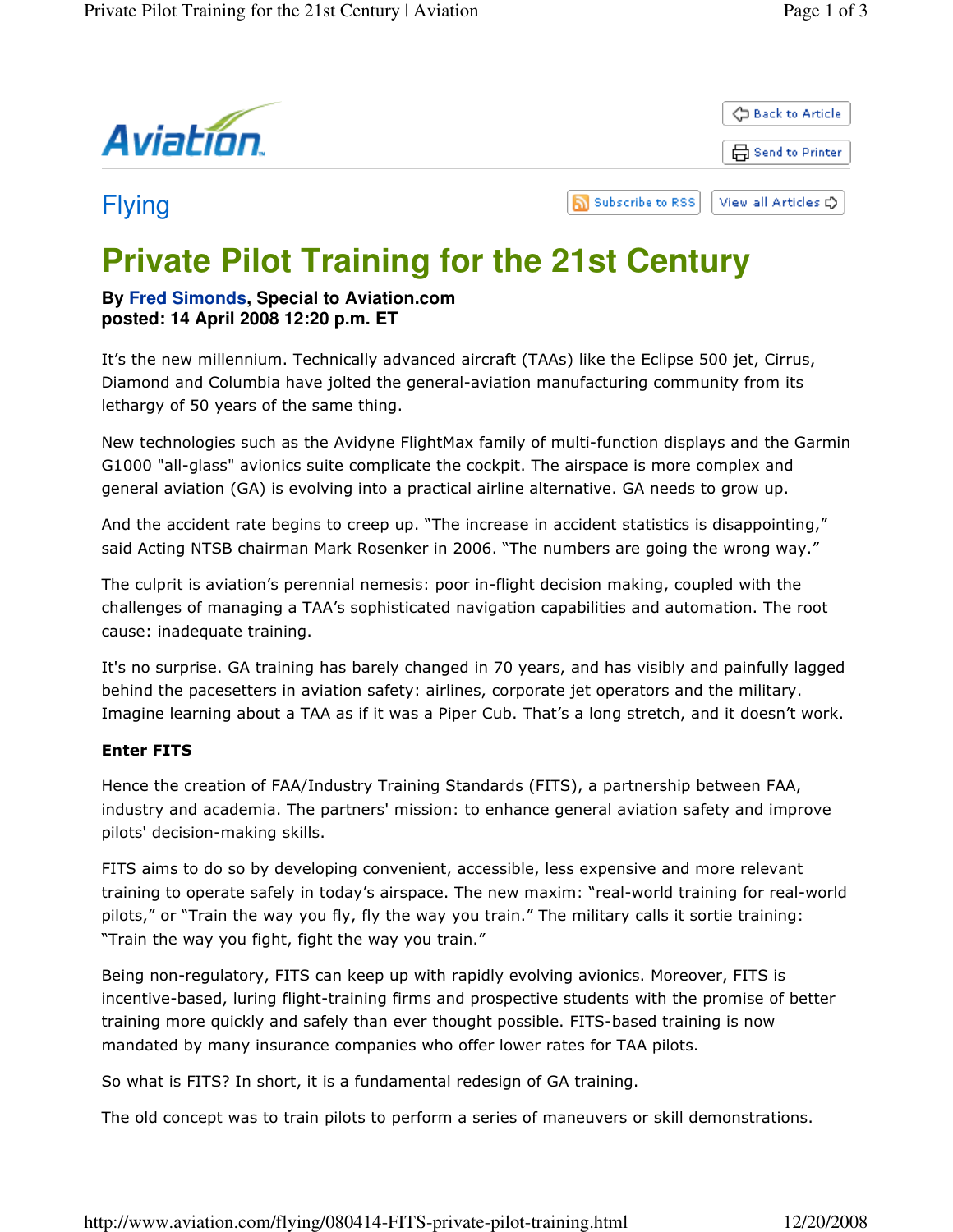

Flying



# **Private Pilot Training for the 21st Century**

## **By Fred Simonds, Special to Aviation.com posted: 14 April 2008 12:20 p.m. ET**

It's the new millennium. Technically advanced aircraft (TAAs) like the Eclipse 500 jet, Cirrus, Diamond and Columbia have jolted the general-aviation manufacturing community from its lethargy of 50 years of the same thing.

New technologies such as the Avidyne FlightMax family of multi-function displays and the Garmin G1000 "all-glass" avionics suite complicate the cockpit. The airspace is more complex and general aviation (GA) is evolving into a practical airline alternative. GA needs to grow up.

ה

And the accident rate begins to creep up. "The increase in accident statistics is disappointing," said Acting NTSB chairman Mark Rosenker in 2006. "The numbers are going the wrong way."

The culprit is aviation's perennial nemesis: poor in-flight decision making, coupled with the challenges of managing a TAA's sophisticated navigation capabilities and automation. The root cause: inadequate training.

It's no surprise. GA training has barely changed in 70 years, and has visibly and painfully lagged behind the pacesetters in aviation safety: airlines, corporate jet operators and the military. Imagine learning about a TAA as if it was a Piper Cub. That's a long stretch, and it doesn't work.

### Enter FITS

Hence the creation of FAA/Industry Training Standards (FITS), a partnership between FAA, industry and academia. The partners' mission: to enhance general aviation safety and improve pilots' decision-making skills.

FITS aims to do so by developing convenient, accessible, less expensive and more relevant training to operate safely in today's airspace. The new maxim: "real-world training for real-world pilots," or "Train the way you fly, fly the way you train." The military calls it sortie training: "Train the way you fight, fight the way you train."

Being non-regulatory, FITS can keep up with rapidly evolving avionics. Moreover, FITS is incentive-based, luring flight-training firms and prospective students with the promise of better training more quickly and safely than ever thought possible. FITS-based training is now mandated by many insurance companies who offer lower rates for TAA pilots.

So what is FITS? In short, it is a fundamental redesign of GA training.

The old concept was to train pilots to perform a series of maneuvers or skill demonstrations.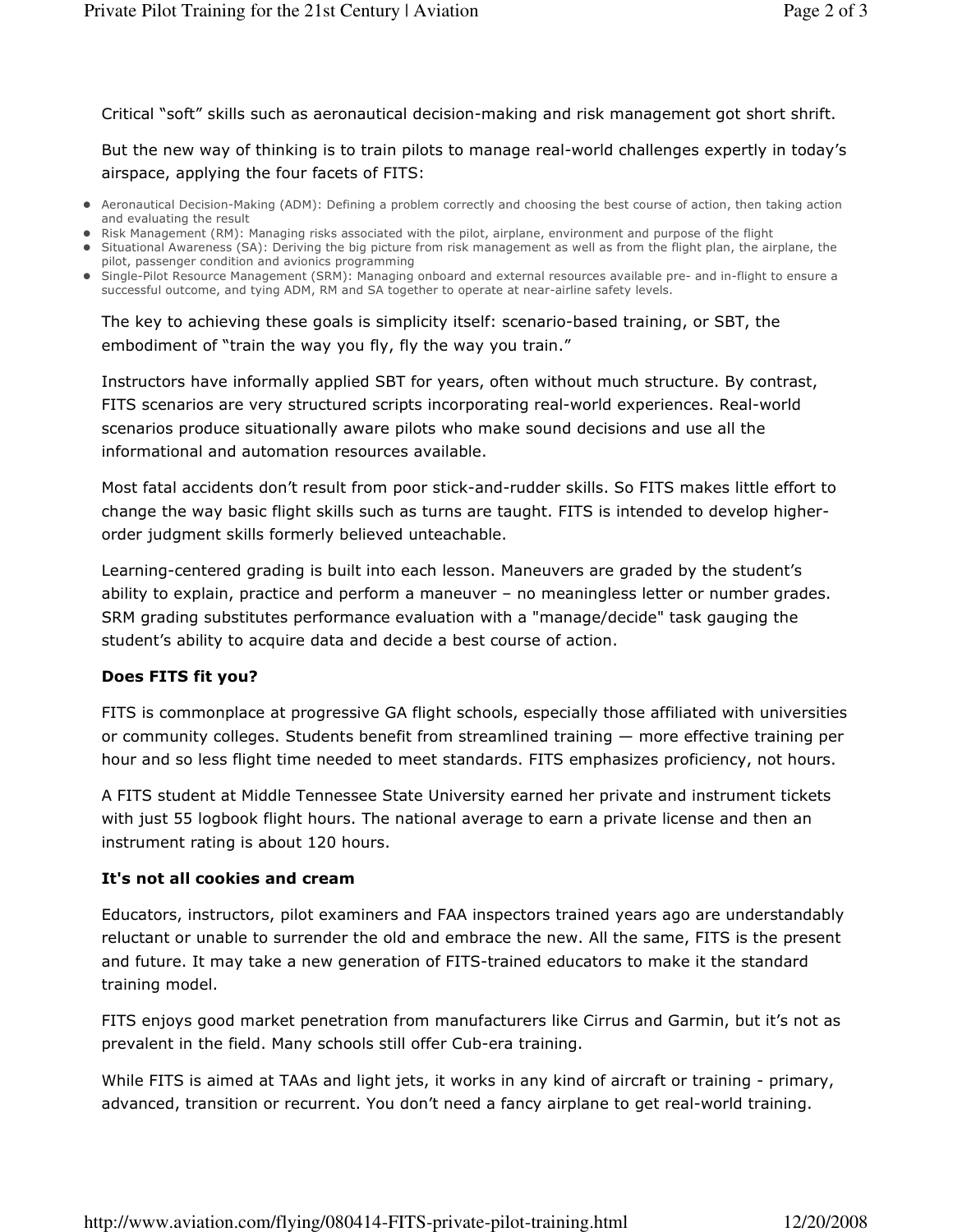Critical "soft" skills such as aeronautical decision-making and risk management got short shrift.

But the new way of thinking is to train pilots to manage real-world challenges expertly in today's airspace, applying the four facets of FITS:

- Aeronautical Decision-Making (ADM): Defining a problem correctly and choosing the best course of action, then taking action and evaluating the result
- Risk Management (RM): Managing risks associated with the pilot, airplane, environment and purpose of the flight
- Situational Awareness (SA): Deriving the big picture from risk management as well as from the flight plan, the airplane, the pilot, passenger condition and avionics programming
- Single-Pilot Resource Management (SRM): Managing onboard and external resources available pre- and in-flight to ensure a successful outcome, and tying ADM, RM and SA together to operate at near-airline safety levels.

The key to achieving these goals is simplicity itself: scenario-based training, or SBT, the embodiment of "train the way you fly, fly the way you train."

Instructors have informally applied SBT for years, often without much structure. By contrast, FITS scenarios are very structured scripts incorporating real-world experiences. Real-world scenarios produce situationally aware pilots who make sound decisions and use all the informational and automation resources available.

Most fatal accidents don't result from poor stick-and-rudder skills. So FITS makes little effort to change the way basic flight skills such as turns are taught. FITS is intended to develop higherorder judgment skills formerly believed unteachable.

Learning-centered grading is built into each lesson. Maneuvers are graded by the student's ability to explain, practice and perform a maneuver – no meaningless letter or number grades. SRM grading substitutes performance evaluation with a "manage/decide" task gauging the student's ability to acquire data and decide a best course of action.

#### Does FITS fit you?

FITS is commonplace at progressive GA flight schools, especially those affiliated with universities or community colleges. Students benefit from streamlined training — more effective training per hour and so less flight time needed to meet standards. FITS emphasizes proficiency, not hours.

A FITS student at Middle Tennessee State University earned her private and instrument tickets with just 55 logbook flight hours. The national average to earn a private license and then an instrument rating is about 120 hours.

#### It's not all cookies and cream

Educators, instructors, pilot examiners and FAA inspectors trained years ago are understandably reluctant or unable to surrender the old and embrace the new. All the same, FITS is the present and future. It may take a new generation of FITS-trained educators to make it the standard training model.

FITS enjoys good market penetration from manufacturers like Cirrus and Garmin, but it's not as prevalent in the field. Many schools still offer Cub-era training.

While FITS is aimed at TAAs and light jets, it works in any kind of aircraft or training - primary, advanced, transition or recurrent. You don't need a fancy airplane to get real-world training.